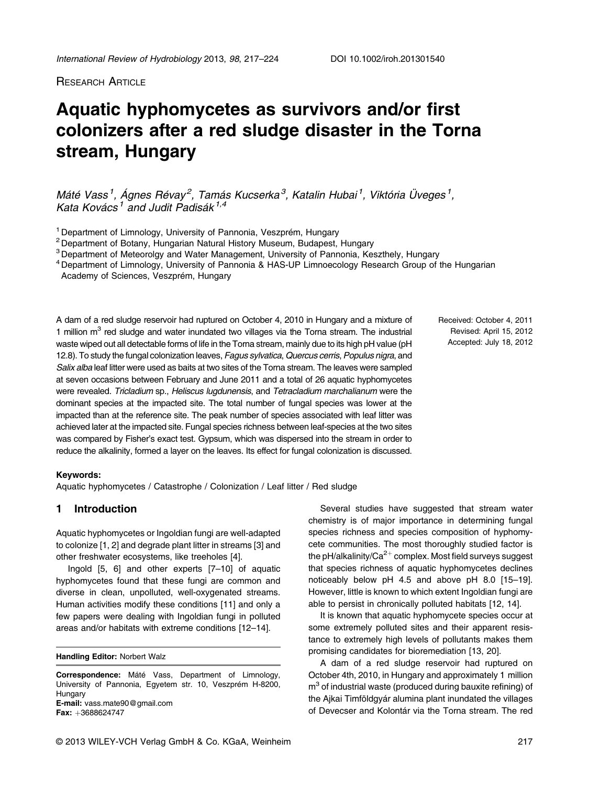**RESEARCH ARTICLE** 

# Aquatic hyphomycetes as survivors and/or first colonizers after a red sludge disaster in the Torna stream, Hungary

Máté Vass<sup>1</sup>, Ágnes Révay<sup>2</sup>, Tamás Kucserka<sup>3</sup>, Katalin Hubai<sup>1</sup>, Viktória Üveges<sup>1</sup>, Kata Kovács<sup>1</sup> and Judit Padisák<sup>1,4</sup>

<sup>1</sup> Department of Limnology, University of Pannonia, Veszprém, Hungary

<sup>2</sup> Department of Botany, Hungarian Natural History Museum, Budapest, Hungary

<sup>3</sup> Department of Meteorolgy and Water Management, University of Pannonia, Keszthely, Hungary

<sup>4</sup> Department of Limnology, University of Pannonia & HAS-UP Limnoecology Research Group of the Hungarian

Academy of Sciences, Veszprém, Hungary

A dam of a red sludge reservoir had ruptured on October 4, 2010 in Hungary and a mixture of 1 million  $m<sup>3</sup>$  red sludge and water inundated two villages via the Torna stream. The industrial waste wiped out all detectable forms of life in the Torna stream, mainly due to its high pH value (pH 12.8). To study the fungal colonization leaves, Fagus sylvatica, Quercus cerris, Populus nigra, and Salix alba leaf litter were used as baits at two sites of the Torna stream. The leaves were sampled at seven occasions between February and June 2011 and a total of 26 aquatic hyphomycetes were revealed. Tricladium sp., Heliscus lugdunensis, and Tetracladium marchalianum were the dominant species at the impacted site. The total number of fungal species was lower at the impacted than at the reference site. The peak number of species associated with leaf litter was achieved later at the impacted site. Fungal species richness between leaf-species at the two sites was compared by Fisher's exact test. Gypsum, which was dispersed into the stream in order to reduce the alkalinity, formed a layer on the leaves. Its effect for fungal colonization is discussed.

#### Keywords:

Aquatic hyphomycetes / Catastrophe / Colonization / Leaf litter / Red sludge

## 1 Introduction

Aquatic hyphomycetes or Ingoldian fungi are well-adapted to colonize [1, 2] and degrade plant litter in streams [3] and other freshwater ecosystems, like treeholes [4].

Ingold [5, 6] and other experts [7–10] of aquatic hyphomycetes found that these fungi are common and diverse in clean, unpolluted, well-oxygenated streams. Human activities modify these conditions [11] and only a few papers were dealing with Ingoldian fungi in polluted areas and/or habitats with extreme conditions [12–14].

Handling Editor: Norbert Walz

Correspondence: Máté Vass, Department of Limnology, University of Pannonia, Egyetem str. 10, Veszprém H-8200, Hungary E-mail: vass.mate90@gmail.com Fax: +3688624747

Received: October 4, 2011 Revised: April 15, 2012 Accepted: July 18, 2012

Several studies have suggested that stream water chemistry is of major importance in determining fungal species richness and species composition of hyphomycete communities. The most thoroughly studied factor is the pH/alkalinity/Ca<sup>2+</sup> complex. Most field surveys suggest that species richness of aquatic hyphomycetes declines noticeably below pH 4.5 and above pH 8.0 [15–19]. However, little is known to which extent Ingoldian fungi are able to persist in chronically polluted habitats [12, 14].

It is known that aquatic hyphomycete species occur at some extremely polluted sites and their apparent resistance to extremely high levels of pollutants makes them promising candidates for bioremediation [13, 20].

A dam of a red sludge reservoir had ruptured on October 4th, 2010, in Hungary and approximately 1 million  $m<sup>3</sup>$  of industrial waste (produced during bauxite refining) of the Ajkai Timföldgyár alumina plant inundated the villages of Devecser and Kolontár via the Torna stream. The red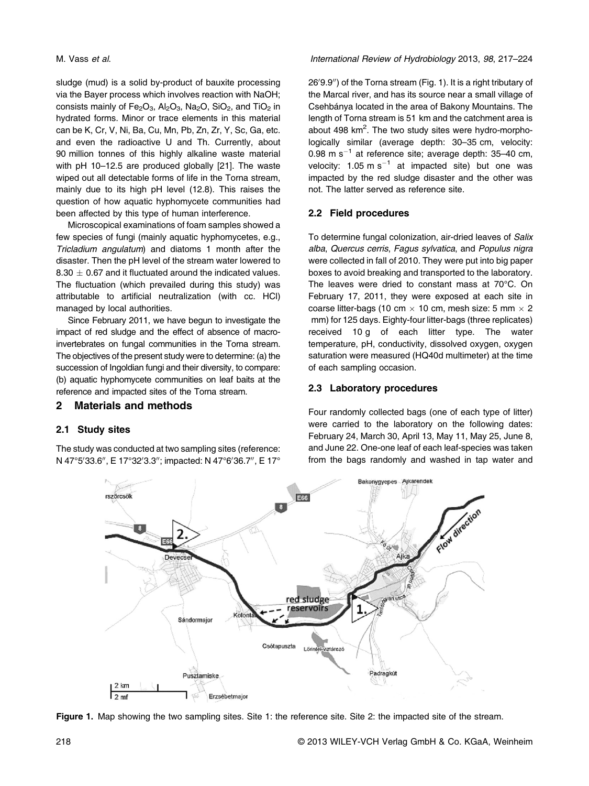sludge (mud) is a solid by-product of bauxite processing via the Bayer process which involves reaction with NaOH; consists mainly of  $Fe<sub>2</sub>O<sub>3</sub>$ , Al<sub>2</sub>O<sub>3</sub>, Na<sub>2</sub>O, SiO<sub>2</sub>, and TiO<sub>2</sub> in hydrated forms. Minor or trace elements in this material can be K, Cr, V, Ni, Ba, Cu, Mn, Pb, Zn, Zr, Y, Sc, Ga, etc. and even the radioactive U and Th. Currently, about 90 million tonnes of this highly alkaline waste material with pH 10–12.5 are produced globally [21]. The waste wiped out all detectable forms of life in the Torna stream, mainly due to its high pH level (12.8). This raises the question of how aquatic hyphomycete communities had been affected by this type of human interference.

Microscopical examinations of foam samples showed a few species of fungi (mainly aquatic hyphomycetes, e.g., Tricladium angulatum) and diatoms 1 month after the disaster. Then the pH level of the stream water lowered to  $8.30 \pm 0.67$  and it fluctuated around the indicated values. The fluctuation (which prevailed during this study) was attributable to artificial neutralization (with cc. HCl) managed by local authorities.

Since February 2011, we have begun to investigate the impact of red sludge and the effect of absence of macroinvertebrates on fungal communities in the Torna stream. The objectives of the present study were to determine: (a) the succession of Ingoldian fungi and their diversity, to compare: (b) aquatic hyphomycete communities on leaf baits at the reference and impacted sites of the Torna stream.

## 2 Materials and methods

## 2.1 Study sites

The study was conducted at two sampling sites (reference: N 47°5′33.6″, E 17°32′3.3″; impacted: N 47°6′36.7″, E 17°

# M. Vass et al. **International Review of Hydrobiology 2013**, 98, 217–224

26′9.9″) of the Torna stream (Fig. 1). It is a right tributary of the Marcal river, and has its source near a small village of Csehbánya located in the area of Bakony Mountains. The length of Torna stream is 51 km and the catchment area is about 498 km<sup>2</sup>. The two study sites were hydro-morphologically similar (average depth: 30–35 cm, velocity: 0.98 m  $s^{-1}$  at reference site; average depth: 35-40 cm, velocity:  $1.05 \text{ m s}^{-1}$  at impacted site) but one was impacted by the red sludge disaster and the other was not. The latter served as reference site.

# 2.2 Field procedures

To determine fungal colonization, air-dried leaves of Salix alba, Quercus cerris, Fagus sylvatica, and Populus nigra were collected in fall of 2010. They were put into big paper boxes to avoid breaking and transported to the laboratory. The leaves were dried to constant mass at 70°C. On February 17, 2011, they were exposed at each site in coarse litter-bags (10 cm  $\times$  10 cm, mesh size: 5 mm  $\times$  2 mm) for 125 days. Eighty-four litter-bags (three replicates) received 10 g of each litter type. The water temperature, pH, conductivity, dissolved oxygen, oxygen saturation were measured (HQ40d multimeter) at the time of each sampling occasion.

## 2.3 Laboratory procedures

Four randomly collected bags (one of each type of litter) were carried to the laboratory on the following dates: February 24, March 30, April 13, May 11, May 25, June 8, and June 22. One-one leaf of each leaf-species was taken from the bags randomly and washed in tap water and



Figure 1. Map showing the two sampling sites. Site 1: the reference site. Site 2: the impacted site of the stream.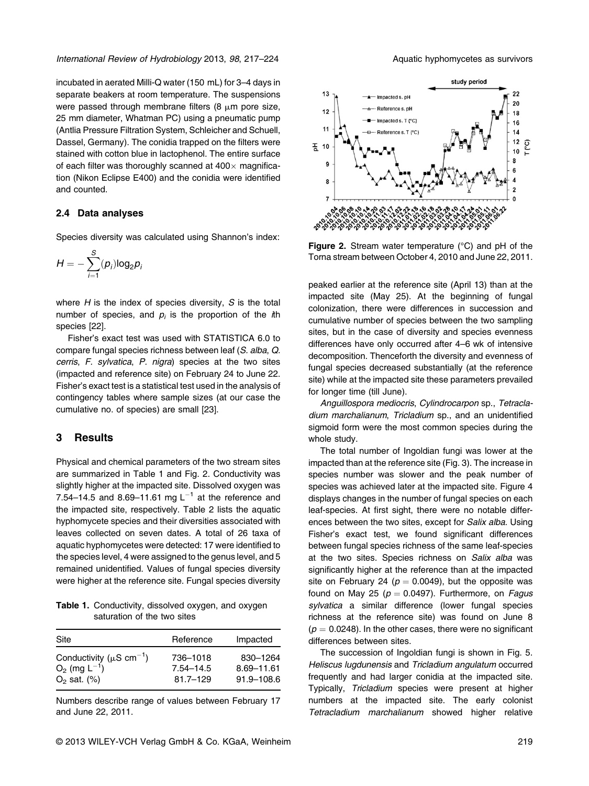incubated in aerated Milli-Q water (150 mL) for 3–4 days in separate beakers at room temperature. The suspensions were passed through membrane filters (8  $\mu$ m pore size, 25 mm diameter, Whatman PC) using a pneumatic pump (Antlia Pressure Filtration System, Schleicher and Schuell, Dassel, Germany). The conidia trapped on the filters were stained with cotton blue in lactophenol. The entire surface of each filter was thoroughly scanned at  $400\times$  magnification (Nikon Eclipse E400) and the conidia were identified and counted.

#### 2.4 Data analyses

Species diversity was calculated using Shannon's index:

$$
H=-\sum_{i=1}^S(p_i)\log_2 p_i
$$

where  $H$  is the index of species diversity,  $S$  is the total number of species, and  $p_i$  is the proportion of the  $i$ th species [22].

Fisher's exact test was used with STATISTICA 6.0 to compare fungal species richness between leaf (S. alba, Q. cerris, F. sylvatica, P. nigra) species at the two sites (impacted and reference site) on February 24 to June 22. Fisher's exact test is a statistical test used in the analysis of contingency tables where sample sizes (at our case the cumulative no. of species) are small [23].

#### 3 Results

Physical and chemical parameters of the two stream sites are summarized in Table 1 and Fig. 2. Conductivity was slightly higher at the impacted site. Dissolved oxygen was 7.54–14.5 and 8.69–11.61 mg L<sup>-1</sup> at the reference and the impacted site, respectively. Table 2 lists the aquatic hyphomycete species and their diversities associated with leaves collected on seven dates. A total of 26 taxa of aquatic hyphomycetes were detected: 17 were identified to the species level, 4 were assigned to the genus level, and 5 remained unidentified. Values of fungal species diversity were higher at the reference site. Fungal species diversity

Table 1. Conductivity, dissolved oxygen, and oxygen saturation of the two sites

| Site                                                                                  | Reference                                 | Impacted                             |
|---------------------------------------------------------------------------------------|-------------------------------------------|--------------------------------------|
| Conductivity ( $\mu$ S cm <sup>-1</sup> )<br>$O_2$ (mg $L^{-1}$ )<br>$O_2$ sat. $(%)$ | 736-1018<br>$7.54 - 14.5$<br>$81.7 - 129$ | 830-1264<br>8.69-11.61<br>91.9-108.6 |
|                                                                                       |                                           |                                      |

Numbers describe range of values between February 17 and June 22, 2011.



Figure 2. Stream water temperature (°C) and pH of the Torna stream between October 4, 2010 and June 22, 2011.

peaked earlier at the reference site (April 13) than at the impacted site (May 25). At the beginning of fungal colonization, there were differences in succession and cumulative number of species between the two sampling sites, but in the case of diversity and species evenness differences have only occurred after 4–6 wk of intensive decomposition. Thenceforth the diversity and evenness of fungal species decreased substantially (at the reference site) while at the impacted site these parameters prevailed for longer time (till June).

Anguillospora mediocris, Cylindrocarpon sp., Tetracladium marchalianum, Tricladium sp., and an unidentified sigmoid form were the most common species during the whole study.

The total number of Ingoldian fungi was lower at the impacted than at the reference site (Fig. 3). The increase in species number was slower and the peak number of species was achieved later at the impacted site. Figure 4 displays changes in the number of fungal species on each leaf-species. At first sight, there were no notable differences between the two sites, except for Salix alba. Using Fisher's exact test, we found significant differences between fungal species richness of the same leaf-species at the two sites. Species richness on Salix alba was significantly higher at the reference than at the impacted site on February 24 ( $p = 0.0049$ ), but the opposite was found on May 25 ( $p = 0.0497$ ). Furthermore, on Fagus sylvatica a similar difference (lower fungal species richness at the reference site) was found on June 8  $(p = 0.0248)$ . In the other cases, there were no significant differences between sites.

The succession of Ingoldian fungi is shown in Fig. 5. Heliscus lugdunensis and Tricladium angulatum occurred frequently and had larger conidia at the impacted site. Typically, Tricladium species were present at higher numbers at the impacted site. The early colonist Tetracladium marchalianum showed higher relative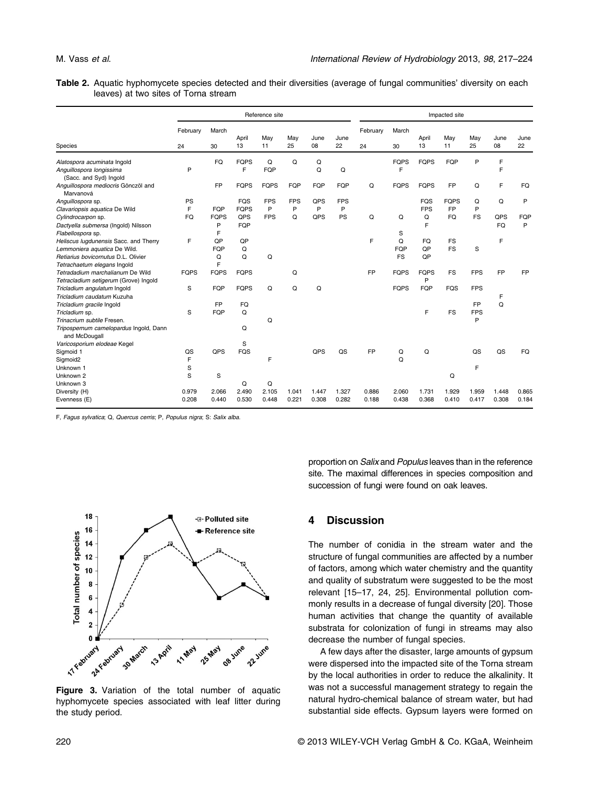Table 2. Aquatic hyphomycete species detected and their diversities (average of fungal communities' diversity on each leaves) at two sites of Torna stream

|                                                                                                                                             | Reference site |                       |                           |                     |                 |                |                 | Impacted site  |                       |                          |                          |                              |                  |                |  |
|---------------------------------------------------------------------------------------------------------------------------------------------|----------------|-----------------------|---------------------------|---------------------|-----------------|----------------|-----------------|----------------|-----------------------|--------------------------|--------------------------|------------------------------|------------------|----------------|--|
| Species                                                                                                                                     | February<br>24 | March<br>30           | April<br>13               | May<br>11           | May<br>25       | June<br>08     | June<br>22      | February<br>24 | March<br>30           | April<br>13              | May<br>11                | May<br>25                    | June<br>08       | June<br>22     |  |
| Alatospora acuminata Ingold<br>Anguillospora longissima<br>(Sacc. and Syd) Ingold                                                           | P              | FQ                    | <b>FQPS</b><br>F          | Q<br>FQP            | Q               | Q<br>Q         | Q               |                | <b>FQPS</b><br>F      | <b>FQPS</b>              | FQP                      | P                            | F<br>F           |                |  |
| Anguillospora mediocris Gönczöl and<br>Marvanová                                                                                            |                | <b>FP</b>             | <b>FQPS</b>               | <b>FQPS</b>         | FQP             | FQP            | FQP             | Q              | <b>FQPS</b>           | <b>FQPS</b>              | <b>FP</b>                | Q                            | F                | FQ             |  |
| Anguillospora sp.<br>Clavariopsis aquatica De Wild                                                                                          | PS<br>F        | FQP                   | <b>FQS</b><br><b>FQPS</b> | <b>FPS</b><br>P     | <b>FPS</b><br>P | QPS<br>P       | <b>FPS</b><br>P |                |                       | <b>FQS</b><br><b>FPS</b> | <b>FQPS</b><br><b>FP</b> | Q<br>P                       | Q                | P              |  |
| Cylindrocarpon sp.<br>Dactyella submersa (Ingold) Nilsson<br>Flabellospora sp.                                                              | FO.            | <b>FOPS</b><br>P<br>F | QPS<br>FQP                | <b>FPS</b>          | Q               | QPS            | PS              | Q              | Q<br>S                | Q<br>F                   | FQ                       | FS                           | QPS<br><b>FQ</b> | FQP<br>P       |  |
| Heliscus lugdunensis Sacc. and Therry<br>Lemmoniera aquatica De Wild.<br>Retiarius bovicornutus D.L. Olivier<br>Tetrachaetum elegans Ingold | F              | OP<br>FQP<br>Q<br>F   | QP<br>Q<br>Q              | Q                   |                 |                |                 | F              | Q<br>FQP<br><b>FS</b> | FQ<br>QP<br>QP           | <b>FS</b><br><b>FS</b>   | S                            | F                |                |  |
| Tetradadium marchalianum De Wild<br>Tetracladium setigerum (Grove) Ingold                                                                   | <b>FQPS</b>    | <b>FQPS</b>           | <b>FQPS</b>               |                     | Q               |                |                 | <b>FP</b>      | <b>FQPS</b>           | <b>FQPS</b><br>P         | <b>FS</b>                | <b>FPS</b>                   | <b>FP</b>        | <b>FP</b>      |  |
| Tricladium angulatum Ingold<br>Tricladium caudatum Kuzuha                                                                                   | S              | FQP                   | <b>FQPS</b>               | Q                   | Q               | Q              |                 |                | <b>FQPS</b>           | <b>FQP</b>               | <b>FQS</b>               | <b>FPS</b>                   | F                |                |  |
| Tricladium gracile Ingold<br>Tricladium sp.<br>Trinacrium subtile Fresen.<br>Tripospernum camelopardus Ingold, Dann<br>and McDougall        | S              | <b>FP</b><br>FQP      | <b>FQ</b><br>Q<br>Q       | Q                   |                 |                |                 |                |                       | F                        | <b>FS</b>                | <b>FP</b><br><b>FPS</b><br>P | Q                |                |  |
| Varicosporium elodeae Kegel<br>Sigmoid 1                                                                                                    | QS             | QPS                   | S<br><b>FQS</b>           |                     |                 | QPS            | QS              | <b>FP</b>      | Q                     | Q                        |                          | QS                           | QS               | <b>FQ</b>      |  |
| Sigmoid2<br>Unknown 1<br>Unknown 2                                                                                                          | F<br>S<br>S    | S                     |                           | F                   |                 |                |                 |                | Q                     |                          | Q                        | F                            |                  |                |  |
| Unknown 3<br>Diversity (H)<br>Evenness (E)                                                                                                  | 0.979<br>0.208 | 2.066<br>0.440        | Q<br>2.490<br>0.530       | Q<br>2.105<br>0.448 | 1.041<br>0.221  | 1.447<br>0.308 | 1.327<br>0.282  | 0.886<br>0.188 | 2.060<br>0.438        | 1.731<br>0.368           | 1.929<br>0.410           | 1.959<br>0.417               | 1.448<br>0.308   | 0.865<br>0.184 |  |

F, Fagus sylvatica; Q, Quercus cerris; P, Populus nigra; S: Salix alba.



Figure 3. Variation of the total number of aquatic hyphomycete species associated with leaf litter during the study period.

proportion on Salix and Populus leaves than in the reference site. The maximal differences in species composition and succession of fungi were found on oak leaves.

## 4 Discussion

The number of conidia in the stream water and the structure of fungal communities are affected by a number of factors, among which water chemistry and the quantity and quality of substratum were suggested to be the most relevant [15–17, 24, 25]. Environmental pollution commonly results in a decrease of fungal diversity [20]. Those human activities that change the quantity of available substrata for colonization of fungi in streams may also decrease the number of fungal species.

A few days after the disaster, large amounts of gypsum were dispersed into the impacted site of the Torna stream by the local authorities in order to reduce the alkalinity. It was not a successful management strategy to regain the natural hydro-chemical balance of stream water, but had substantial side effects. Gypsum layers were formed on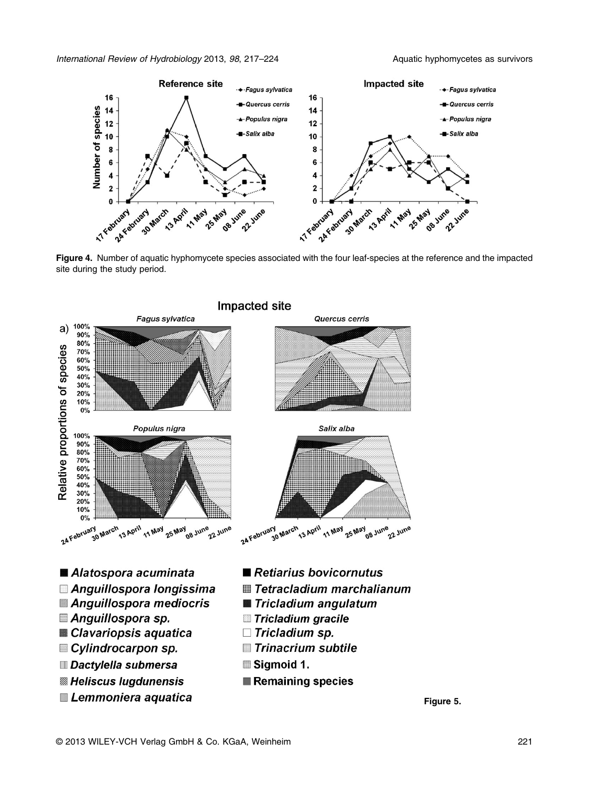

Figure 4. Number of aquatic hyphomycete species associated with the four leaf-species at the reference and the impacted site during the study period.



Figure 5.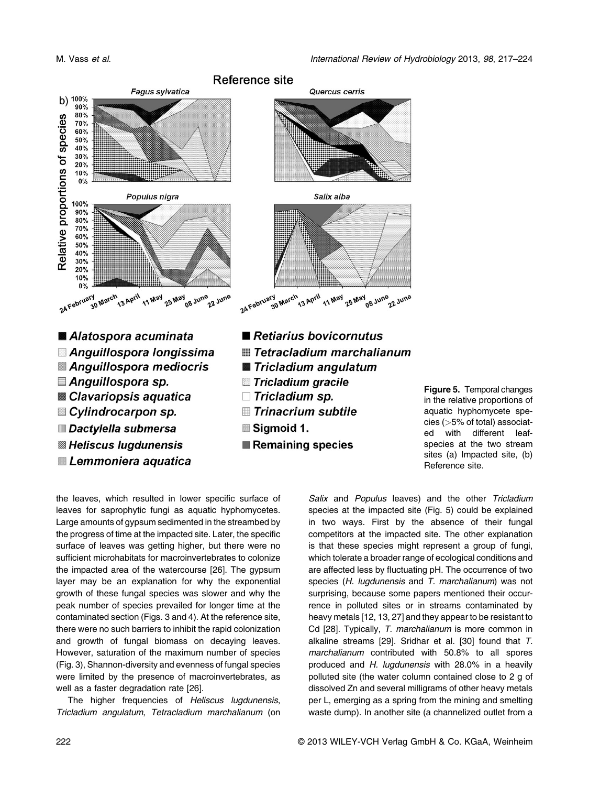

Figure 5. Temporal changes in the relative proportions of aquatic hyphomycete species (*>*5% of total) associated with different leafspecies at the two stream sites (a) Impacted site, (b) Reference site.

the leaves, which resulted in lower specific surface of leaves for saprophytic fungi as aquatic hyphomycetes. Large amounts of gypsum sedimented in the streambed by the progress of time at the impacted site. Later, the specific surface of leaves was getting higher, but there were no sufficient microhabitats for macroinvertebrates to colonize the impacted area of the watercourse [26]. The gypsum layer may be an explanation for why the exponential growth of these fungal species was slower and why the peak number of species prevailed for longer time at the contaminated section (Figs. 3 and 4). At the reference site, there were no such barriers to inhibit the rapid colonization and growth of fungal biomass on decaying leaves. However, saturation of the maximum number of species (Fig. 3), Shannon-diversity and evenness of fungal species were limited by the presence of macroinvertebrates, as well as a faster degradation rate [26].

Lemmoniera aquatica

The higher frequencies of Heliscus lugdunensis, Tricladium angulatum, Tetracladium marchalianum (on Salix and Populus leaves) and the other Tricladium species at the impacted site (Fig. 5) could be explained in two ways. First by the absence of their fungal competitors at the impacted site. The other explanation is that these species might represent a group of fungi, which tolerate a broader range of ecological conditions and are affected less by fluctuating pH. The occurrence of two species (H. lugdunensis and T. marchalianum) was not surprising, because some papers mentioned their occurrence in polluted sites or in streams contaminated by heavy metals [12, 13, 27] and they appear to be resistant to Cd [28]. Typically, T. marchalianum is more common in alkaline streams [29]. Sridhar et al. [30] found that T. marchalianum contributed with 50.8% to all spores produced and H. lugdunensis with 28.0% in a heavily polluted site (the water column contained close to 2 g of dissolved Zn and several milligrams of other heavy metals per L, emerging as a spring from the mining and smelting waste dump). In another site (a channelized outlet from a

Remaining species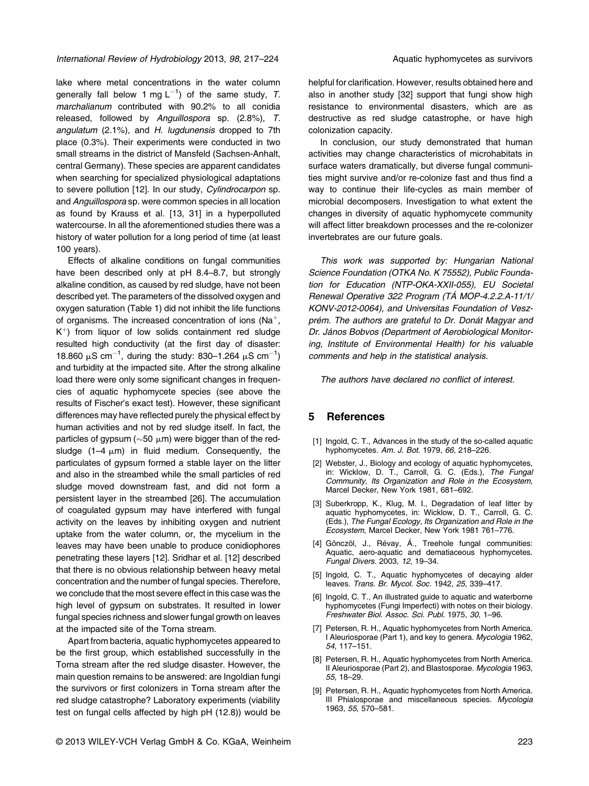lake where metal concentrations in the water column generally fall below 1 mg L<sup>-1</sup>) of the same study, T. marchalianum contributed with 90.2% to all conidia released, followed by Anguillospora sp. (2.8%), T. angulatum (2.1%), and H. lugdunensis dropped to 7th place (0.3%). Their experiments were conducted in two small streams in the district of Mansfeld (Sachsen-Anhalt, central Germany). These species are apparent candidates when searching for specialized physiological adaptations to severe pollution [12]. In our study, Cylindrocarpon sp. and Anguillospora sp. were common species in all location as found by Krauss et al. [13, 31] in a hyperpolluted watercourse. In all the aforementioned studies there was a history of water pollution for a long period of time (at least 100 years).

Effects of alkaline conditions on fungal communities have been described only at pH 8.4–8.7, but strongly alkaline condition, as caused by red sludge, have not been described yet. The parameters of the dissolved oxygen and oxygen saturation (Table 1) did not inhibit the life functions of organisms. The increased concentration of ions ( $Na<sup>+</sup>$ ,  $K^+$ ) from liquor of low solids containment red sludge resulted high conductivity (at the first day of disaster: 18.860  $\mu$ S cm<sup>-1</sup>, during the study: 830-1.264  $\mu$ S cm<sup>-1</sup>) and turbidity at the impacted site. After the strong alkaline load there were only some significant changes in frequencies of aquatic hyphomycete species (see above the results of Fischer's exact test). However, these significant differences may have reflected purely the physical effect by human activities and not by red sludge itself. In fact, the particles of gypsum ( $\sim$ 50  $\mu$ m) were bigger than of the redsludge (1–4  $\mu$ m) in fluid medium. Consequently, the particulates of gypsum formed a stable layer on the litter and also in the streambed while the small particles of red sludge moved downstream fast, and did not form a persistent layer in the streambed [26]. The accumulation of coagulated gypsum may have interfered with fungal activity on the leaves by inhibiting oxygen and nutrient uptake from the water column, or, the mycelium in the leaves may have been unable to produce conidiophores penetrating these layers [12]. Sridhar et al. [12] described that there is no obvious relationship between heavy metal concentration and the number of fungal species. Therefore, we conclude that the most severe effect in this case was the high level of gypsum on substrates. It resulted in lower fungal species richness and slower fungal growth on leaves at the impacted site of the Torna stream.

Apart from bacteria, aquatic hyphomycetes appeared to be the first group, which established successfully in the Torna stream after the red sludge disaster. However, the main question remains to be answered: are Ingoldian fungi the survivors or first colonizers in Torna stream after the red sludge catastrophe? Laboratory experiments (viability test on fungal cells affected by high pH (12.8)) would be

helpful for clarification. However, results obtained here and also in another study [32] support that fungi show high resistance to environmental disasters, which are as destructive as red sludge catastrophe, or have high colonization capacity.

In conclusion, our study demonstrated that human activities may change characteristics of microhabitats in surface waters dramatically, but diverse fungal communities might survive and/or re-colonize fast and thus find a way to continue their life-cycles as main member of microbial decomposers. Investigation to what extent the changes in diversity of aquatic hyphomycete community will affect litter breakdown processes and the re-colonizer invertebrates are our future goals.

This work was supported by: Hungarian National Science Foundation (OTKA No. K 75552), Public Foundation for Education (NTP-OKA-XXII-055), EU Societal Renewal Operative 322 Program (TÁ MOP-4.2.2.A-11/1/ KONV-2012-0064), and Universitas Foundation of Veszprém. The authors are grateful to Dr. Donát Magyar and Dr. János Bobvos (Department of Aerobiological Monitoring, Institute of Environmental Health) for his valuable comments and help in the statistical analysis.

The authors have declared no conflict of interest.

#### 5 References

- [1] Ingold, C. T., Advances in the study of the so-called aquatic hyphomycetes. Am. J. Bot. 1979, 66, 218–226.
- [2] Webster, J., Biology and ecology of aquatic hyphomycetes, in: Wicklow, D. T., Carroll, G. C. (Eds.), The Fungal Community, Its Organization and Role in the Ecosystem, Marcel Decker, New York 1981, 681–692.
- [3] Suberkropp, K., Klug, M. I., Degradation of leaf litter by aquatic hyphomycetes, in: Wicklow, D. T., Carroll, G. C. (Eds.), The Fungal Ecology, Its Organization and Role in the Ecosystem, Marcel Decker, New York 1981 761–776.
- [4] Gönczöl, J., Révay, Á., Treehole fungal communities: Aquatic, aero-aquatic and dematiaceous hyphomycetes. Fungal Divers. 2003, 12, 19–34.
- [5] Ingold, C. T., Aquatic hyphomycetes of decaying alder leaves. Trans. Br. Mycol. Soc. 1942, 25, 339–417.
- [6] Ingold, C. T., An illustrated guide to aquatic and waterborne hyphomycetes (Fungi Imperfecti) with notes on their biology. Freshwater Biol. Assoc. Sci. Publ. 1975, 30, 1–96.
- [7] Petersen, R. H., Aquatic hyphomycetes from North America. I Aleuriosporae (Part 1), and key to genera. Mycologia 1962, 54, 117–151.
- [8] Petersen, R. H., Aquatic hyphomycetes from North America. II Aleuriosporae (Part 2), and Blastosporae. Mycologia 1963, 55, 18–29.
- [9] Petersen, R. H., Aquatic hyphomycetes from North America. III Phialosporae and miscellaneous species. Mycologia 1963, 55, 570–581.